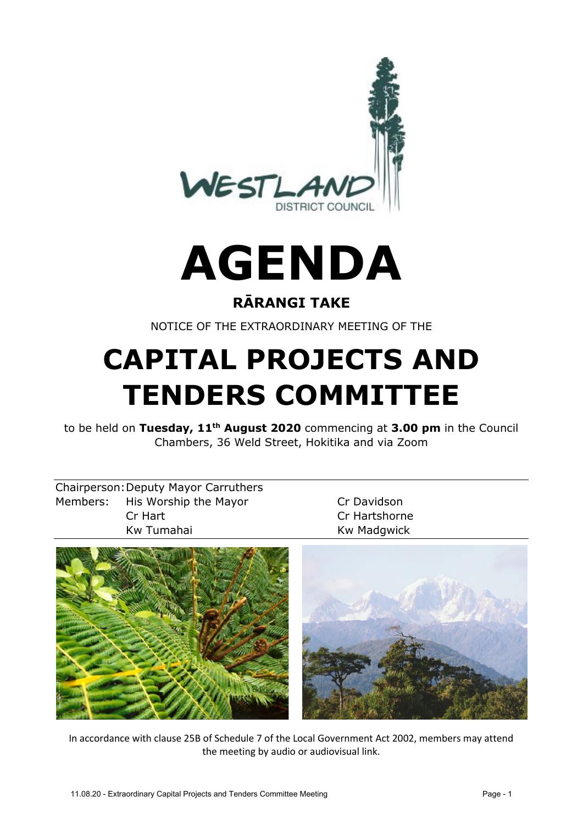

# **AGENDA**

## **RĀRANGI TAKE**

NOTICE OF THE EXTRAORDINARY MEETING OF THE

# **CAPITAL PROJECTS AND TENDERS COMMITTEE**

to be held on **Tuesday, 11th August 2020** commencing at **3.00 pm** in the Council Chambers, 36 Weld Street, Hokitika and via Zoom

| <b>Chairperson: Deputy Mayor Carruthers</b> |
|---------------------------------------------|
| Members: His Worship the Mayor              |
| Cr Hart                                     |
| Kw Tumahai                                  |

Cr Davidson Cr Hartshorne Kw Madgwick



In accordance with clause 25B of Schedule 7 of the Local Government Act 2002, members may attend the meeting by audio or audiovisual link.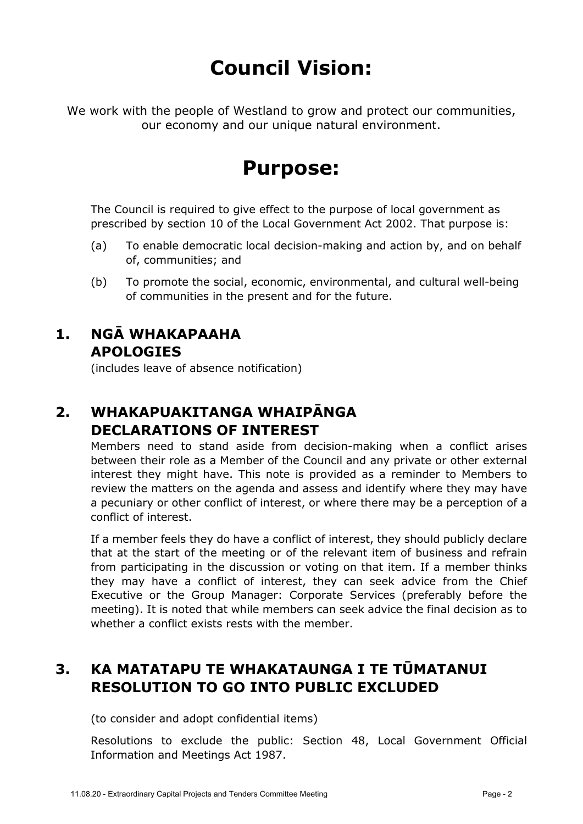# **Council Vision:**

We work with the people of Westland to grow and protect our communities, our economy and our unique natural environment.

# **Purpose:**

The Council is required to give effect to the purpose of local government as prescribed by section 10 of the Local Government Act 2002. That purpose is:

- (a) To enable democratic local decision-making and action by, and on behalf of, communities; and
- (b) To promote the social, economic, environmental, and cultural well-being of communities in the present and for the future.

### **1. NGĀ WHAKAPAAHA APOLOGIES**

(includes leave of absence notification)

### **2. WHAKAPUAKITANGA WHAIPĀNGA DECLARATIONS OF INTEREST**

Members need to stand aside from decision-making when a conflict arises between their role as a Member of the Council and any private or other external interest they might have. This note is provided as a reminder to Members to review the matters on the agenda and assess and identify where they may have a pecuniary or other conflict of interest, or where there may be a perception of a conflict of interest.

If a member feels they do have a conflict of interest, they should publicly declare that at the start of the meeting or of the relevant item of business and refrain from participating in the discussion or voting on that item. If a member thinks they may have a conflict of interest, they can seek advice from the Chief Executive or the Group Manager: Corporate Services (preferably before the meeting). It is noted that while members can seek advice the final decision as to whether a conflict exists rests with the member.

# **3. KA MATATAPU TE WHAKATAUNGA I TE TŪMATANUI RESOLUTION TO GO INTO PUBLIC EXCLUDED**

(to consider and adopt confidential items)

Resolutions to exclude the public: Section 48, Local Government Official Information and Meetings Act 1987.